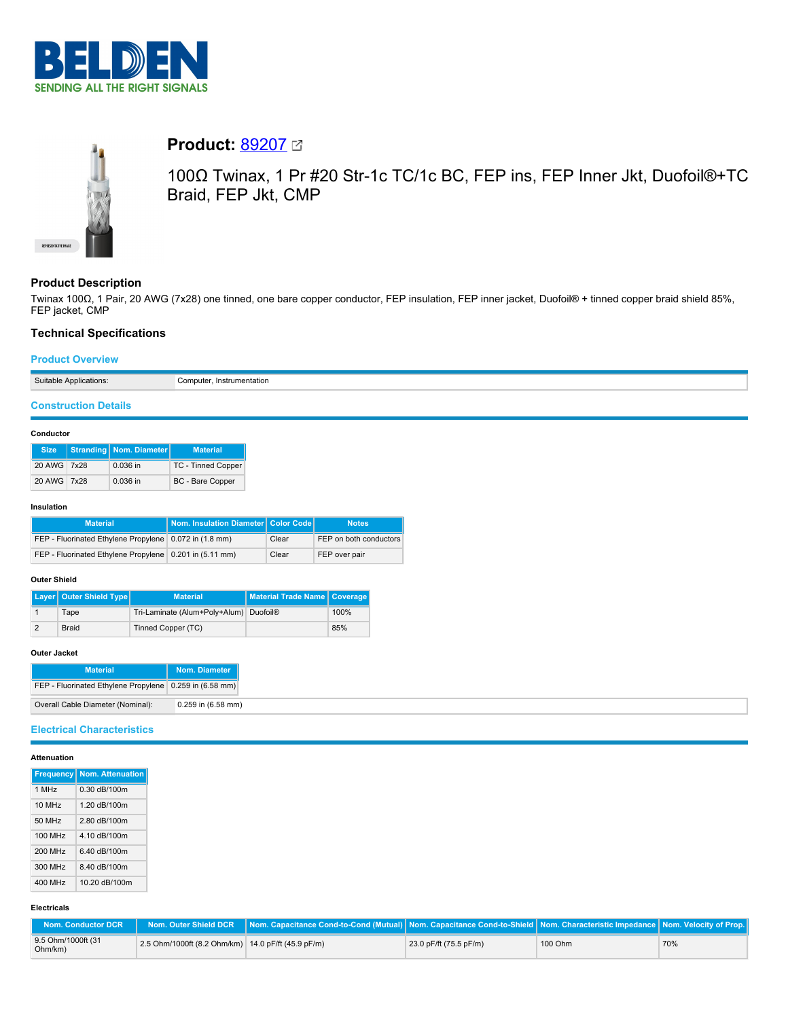



# **Product:** [89207](https://catalog.belden.com/index.cfm?event=pd&p=PF_89207&tab=downloads)

100Ω Twinax, 1 Pr #20 Str-1c TC/1c BC, FEP ins, FEP Inner Jkt, Duofoil®+TC Braid, FEP Jkt, CMP

# **Product Description**

Twinax 100Ω, 1 Pair, 20 AWG (7x28) one tinned, one bare copper conductor, FEP insulation, FEP inner jacket, Duofoil® + tinned copper braid shield 85%, FEP jacket, CMP

# **Technical Specifications**

### **Product Overview**

| Suitable   | `omni             |
|------------|-------------------|
| lications: | . Instrumentation |
|            |                   |
| . .        |                   |
|            |                   |

# **Construction Details**

### **Conductor**

| <b>Size</b> | Stranding Nom. Diameter | <b>Material</b>           |
|-------------|-------------------------|---------------------------|
| 20 AWG 7x28 | $0.036$ in              | <b>TC - Tinned Copper</b> |
| 20 AWG 7x28 | $0.036$ in              | <b>BC</b> - Bare Copper   |

#### **Insulation**

| <b>Material</b>                                           | Nom. Insulation Diameter Color Code |       | <b>Notes</b>           |
|-----------------------------------------------------------|-------------------------------------|-------|------------------------|
| FEP - Fluorinated Ethylene Propylene   0.072 in (1.8 mm)  |                                     | Clear | FEP on both conductors |
| FEP - Fluorinated Ethylene Propylene   0.201 in (5.11 mm) |                                     | Clear | FEP over pair          |

#### **Outer Shield**

| Layer   Outer Shield Type | <b>Material</b>                        | Material Trade Name   Coverage |      |
|---------------------------|----------------------------------------|--------------------------------|------|
| Tape                      | Tri-Laminate (Alum+Poly+Alum) Duofoil® |                                | 100% |
| <b>Braid</b>              | Tinned Copper (TC)                     |                                | 85%  |

#### **Outer Jacket**

| <b>Material</b>                                         | Nom. Diameter        |
|---------------------------------------------------------|----------------------|
| FEP - Fluorinated Ethylene Propylene 0.259 in (6.58 mm) |                      |
| Overall Cable Diameter (Nominal):                       | $0.259$ in (6.58 mm) |

### **Electrical Characteristics**

### **Attenuation**

|         | <b>Frequency Nom. Attenuation</b> |
|---------|-----------------------------------|
|         |                                   |
| 1 MHz   | 0.30 dB/100m                      |
| 10 MHz  | 1.20 dB/100m                      |
| 50 MHz  | 2.80 dB/100m                      |
| 100 MHz | 4.10 dB/100m                      |
| 200 MHz | 6.40 dB/100m                      |
| 300 MHz | 8.40 dB/100m                      |
| 400 MHz | 10.20 dB/100m                     |

### **Electricals**

| Nom. Conductor DCR            |                                                    | Nom. Outer Shield DCR │Nom. Capacitance Cond-to-Cond (Mutual)│Nom. Capacitance Cond-to-Shield│Nom. Characteristic Impedance│Nom. Velocity of Prop.│ |                        |         |     |
|-------------------------------|----------------------------------------------------|-----------------------------------------------------------------------------------------------------------------------------------------------------|------------------------|---------|-----|
| 9.5 Ohm/1000ft (31<br>Ohm/km) | 2.5 Ohm/1000ft (8.2 Ohm/km) 14.0 pF/ft (45.9 pF/m) |                                                                                                                                                     | 23.0 pF/ft (75.5 pF/m) | 100 Ohm | 70% |